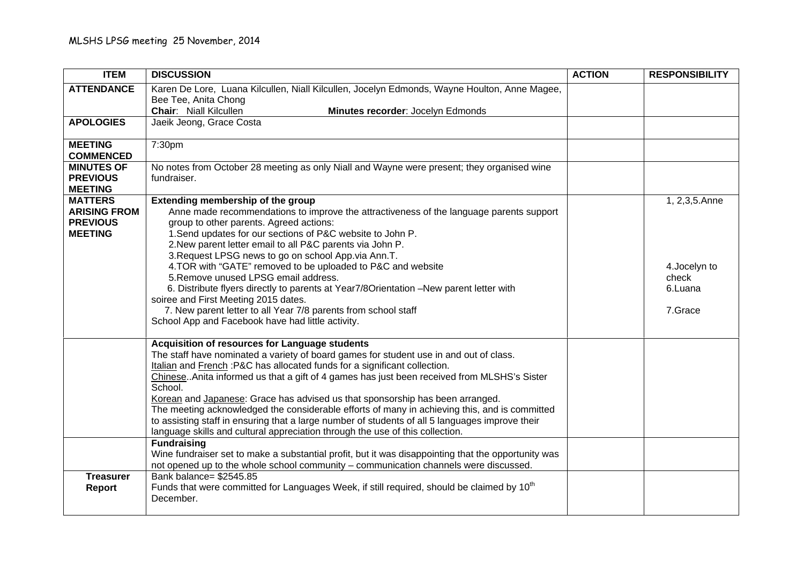| <b>ITEM</b>                            | <b>DISCUSSION</b>                                                                                                                  | <b>ACTION</b> | <b>RESPONSIBILITY</b> |
|----------------------------------------|------------------------------------------------------------------------------------------------------------------------------------|---------------|-----------------------|
| <b>ATTENDANCE</b>                      | Karen De Lore, Luana Kilcullen, Niall Kilcullen, Jocelyn Edmonds, Wayne Houlton, Anne Magee,                                       |               |                       |
|                                        | Bee Tee, Anita Chong<br><b>Chair:</b> Niall Kilcullen<br>Minutes recorder: Jocelyn Edmonds                                         |               |                       |
| <b>APOLOGIES</b>                       | Jaeik Jeong, Grace Costa                                                                                                           |               |                       |
|                                        |                                                                                                                                    |               |                       |
| <b>MEETING</b>                         | 7:30pm                                                                                                                             |               |                       |
| <b>COMMENCED</b><br><b>MINUTES OF</b>  | No notes from October 28 meeting as only Niall and Wayne were present; they organised wine                                         |               |                       |
| <b>PREVIOUS</b>                        | fundraiser.                                                                                                                        |               |                       |
| <b>MEETING</b>                         |                                                                                                                                    |               |                       |
| <b>MATTERS</b>                         | Extending membership of the group                                                                                                  |               | 1, 2,3,5.Anne         |
| <b>ARISING FROM</b><br><b>PREVIOUS</b> | Anne made recommendations to improve the attractiveness of the language parents support<br>group to other parents. Agreed actions: |               |                       |
| <b>MEETING</b>                         | 1. Send updates for our sections of P&C website to John P.                                                                         |               |                       |
|                                        | 2. New parent letter email to all P&C parents via John P.                                                                          |               |                       |
|                                        | 3. Request LPSG news to go on school App.via Ann.T.                                                                                |               |                       |
|                                        | 4. TOR with "GATE" removed to be uploaded to P&C and website                                                                       |               | 4.Jocelyn to          |
|                                        | 5. Remove unused LPSG email address.<br>6. Distribute flyers directly to parents at Year7/8Orientation -New parent letter with     |               | check<br>6.Luana      |
|                                        | soiree and First Meeting 2015 dates.                                                                                               |               |                       |
|                                        | 7. New parent letter to all Year 7/8 parents from school staff                                                                     |               | 7.Grace               |
|                                        | School App and Facebook have had little activity.                                                                                  |               |                       |
|                                        | Acquisition of resources for Language students                                                                                     |               |                       |
|                                        | The staff have nominated a variety of board games for student use in and out of class.                                             |               |                       |
|                                        | Italian and French: P&C has allocated funds for a significant collection.                                                          |               |                       |
|                                        | Chinese. Anita informed us that a gift of 4 games has just been received from MLSHS's Sister<br>School.                            |               |                       |
|                                        | Korean and Japanese: Grace has advised us that sponsorship has been arranged.                                                      |               |                       |
|                                        | The meeting acknowledged the considerable efforts of many in achieving this, and is committed                                      |               |                       |
|                                        | to assisting staff in ensuring that a large number of students of all 5 languages improve their                                    |               |                       |
|                                        | language skills and cultural appreciation through the use of this collection.<br><b>Fundraising</b>                                |               |                       |
|                                        | Wine fundraiser set to make a substantial profit, but it was disappointing that the opportunity was                                |               |                       |
|                                        | not opened up to the whole school community - communication channels were discussed.                                               |               |                       |
| <b>Treasurer</b>                       | Bank balance= \$2545.85                                                                                                            |               |                       |
| <b>Report</b>                          | Funds that were committed for Languages Week, if still required, should be claimed by 10 <sup>th</sup>                             |               |                       |
|                                        | December.                                                                                                                          |               |                       |